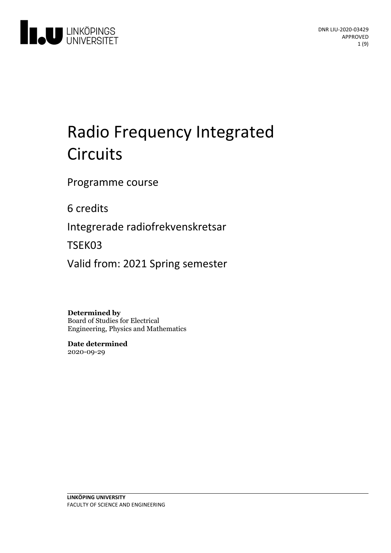

# Radio Frequency Integrated **Circuits**

Programme course

6 credits

Integrerade radiofrekvenskretsar

TSEK03

Valid from: 2021 Spring semester

**Determined by** Board of Studies for Electrical Engineering, Physics and Mathematics

**Date determined** 2020-09-29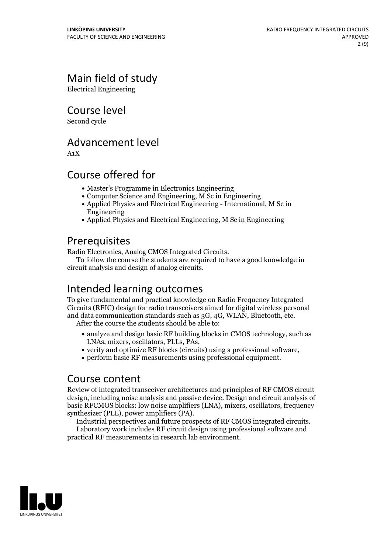## Main field of study

Electrical Engineering

Course level

Second cycle

### Advancement level

A1X

### Course offered for

- Master's Programme in Electronics Engineering
- Computer Science and Engineering, M Sc in Engineering
- Applied Physics and Electrical Engineering International, M Sc in Engineering
- Applied Physics and Electrical Engineering, M Sc in Engineering

**Prerequisites**<br>Radio Electronics, Analog CMOS Integrated Circuits.

To follow the course the students are required to have a good knowledge in circuit analysis and design of analog circuits.

### Intended learning outcomes

To give fundamental and practical knowledge on Radio Frequency Integrated Circuits (RFIC) design for radio transceivers aimed for digital wireless personal and data communication standards such as 3G, 4G, WLAN, Bluetooth, etc. After the course the students should be able to:

- analyze and design basic RF building blocks in CMOS technology, such as LNAs, mixers, oscillators, PLLs, PAs,
- $\bullet$  verify and optimize RF blocks (circuits) using a professional software,
- perform basic RF measurements using professional equipment.

### Course content

Review of integrated transceiver architectures and principles of RF CMOS circuit design, including noise analysis and passive device. Design and circuit analysis of basic RFCMOS blocks: low noise amplifiers (LNA), mixers, oscillators, frequency

Industrial perspectives and future prospects of RF CMOS integrated circuits.<br>Laboratory work includes RF circuit design using professional software and

practical RF measurements in research lab environment.

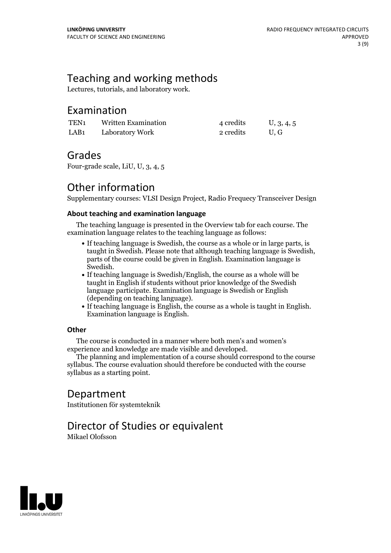### Teaching and working methods

Lectures, tutorials, and laboratory work.

### Examination

| TEN1 | Written Examination | 4 credits | U, 3, 4, 5 |
|------|---------------------|-----------|------------|
| LAB1 | Laboratory Work     | 2 credits | U.G        |

### Grades

Four-grade scale, LiU, U, 3, 4, 5

### Other information

Supplementary courses: VLSI Design Project, Radio Frequecy Transceiver Design

#### **About teaching and examination language**

The teaching language is presented in the Overview tab for each course. The examination language relates to the teaching language as follows:

- If teaching language is Swedish, the course as a whole or in large parts, is taught in Swedish. Please note that although teaching language is Swedish, parts of the course could be given in English. Examination language is
- Swedish.<br>• If teaching language is Swedish/English, the course as a whole will be taught in English if students without prior knowledge of the Swedish language participate. Examination language is Swedish or English
- $\bullet$  If teaching language is English, the course as a whole is taught in English. Examination language is English.

#### **Other**

The course is conducted in a manner where both men's and women's

The planning and implementation of a course should correspond to the course syllabus. The course evaluation should therefore be conducted with the course syllabus as a starting point.

### Department

Institutionen för systemteknik

### Director of Studies or equivalent

Mikael Olofsson

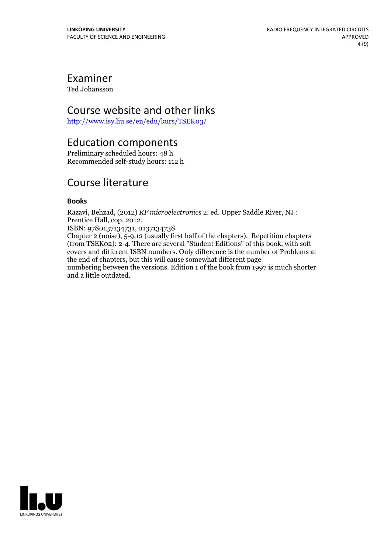### Examiner

Ted Johansson

### Course website and other links

<http://www.isy.liu.se/en/edu/kurs/TSEK03/>

### Education components

Preliminary scheduled hours: 48 h Recommended self-study hours: 112 h

### Course literature

#### **Books**

Razavi, Behzad, (2012) *RF microelectronics* 2. ed. Upper Saddle River, NJ :

ISBN: 9780137134731, 0137134738

Chapter 2 (noise), 5-9,12 (usually first half of the chapters). Repetition chapters (from TSEK02): 2-4. There are several "Student Editions" of this book, with soft covers and different ISBN numbers. Only difference is the number of Problems at the end of chapters, but this will cause somewhat different page numbering between the versions. Edition 1 of the book from 1997 is much shorter

and a little outdated.

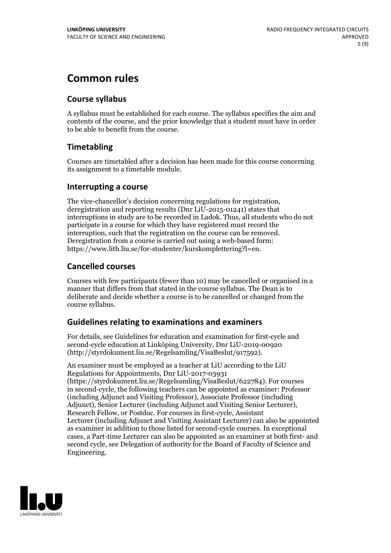### **Common rules**

### **Course syllabus**

A syllabus must be established for each course. The syllabus specifies the aim and contents of the course, and the prior knowledge that a student must have in order to be able to benefit from the course.

### **Timetabling**

Courses are timetabled after a decision has been made for this course concerning its assignment to a timetable module.

#### **Interrupting a course**

The vice-chancellor's decision concerning regulations for registration, deregistration and reporting results (Dnr LiU-2015-01241) states that interruptions in study are to be recorded in Ladok. Thus, all students who do not participate in a course for which they have registered must record the interruption, such that the registration on the course can be removed. Deregistration from <sup>a</sup> course is carried outusing <sup>a</sup> web-based form: https://www.lith.liu.se/for-studenter/kurskomplettering?l=en.

### **Cancelled courses**

Courses with few participants (fewer than 10) may be cancelled or organised in a manner that differs from that stated in the course syllabus. The Dean is to deliberate and decide whether a course is to be cancelled or changed from the course syllabus.

### **Guidelines relatingto examinations and examiners**

For details, see Guidelines for education and examination for first-cycle and second-cycle education at Linköping University, Dnr LiU-2019-00920 (http://styrdokument.liu.se/Regelsamling/VisaBeslut/917592).

An examiner must be employed as a teacher at LiU according to the LiU Regulations for Appointments, Dnr LiU-2017-03931 (https://styrdokument.liu.se/Regelsamling/VisaBeslut/622784). For courses in second-cycle, the following teachers can be appointed as examiner: Professor (including Adjunct and Visiting Professor), Associate Professor (including Adjunct), Senior Lecturer (including Adjunct and Visiting Senior Lecturer), Research Fellow, or Postdoc. For courses in first-cycle, Assistant Lecturer (including Adjunct and Visiting Assistant Lecturer) can also be appointed as examiner in addition to those listed for second-cycle courses. In exceptional cases, a Part-time Lecturer can also be appointed as an examiner at both first- and second cycle, see Delegation of authority for the Board of Faculty of Science and Engineering.

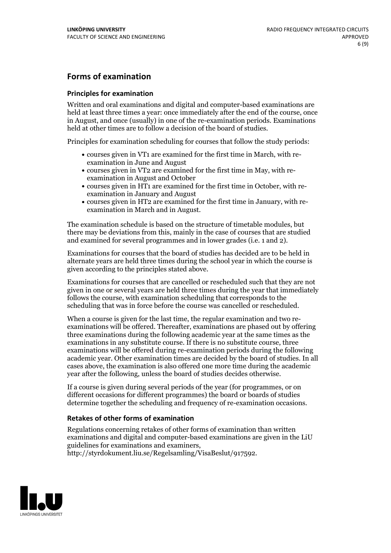### **Forms of examination**

#### **Principles for examination**

Written and oral examinations and digital and computer-based examinations are held at least three times a year: once immediately after the end of the course, once in August, and once (usually) in one of the re-examination periods. Examinations held at other times are to follow a decision of the board of studies.

Principles for examination scheduling for courses that follow the study periods:

- courses given in VT1 are examined for the first time in March, with re-examination in June and August
- courses given in VT2 are examined for the first time in May, with re-examination in August and October
- courses given in HT1 are examined for the first time in October, with re-examination in January and August
- courses given in HT2 are examined for the first time in January, with re-examination in March and in August.

The examination schedule is based on the structure of timetable modules, but there may be deviations from this, mainly in the case of courses that are studied and examined for several programmes and in lower grades (i.e. 1 and 2).

Examinations for courses that the board of studies has decided are to be held in alternate years are held three times during the school year in which the course is given according to the principles stated above.

Examinations for courses that are cancelled orrescheduled such that they are not given in one or several years are held three times during the year that immediately follows the course, with examination scheduling that corresponds to the scheduling that was in force before the course was cancelled or rescheduled.

When a course is given for the last time, the regular examination and two re-<br>examinations will be offered. Thereafter, examinations are phased out by offering three examinations during the following academic year at the same times as the examinations in any substitute course. If there is no substitute course, three examinations will be offered during re-examination periods during the following academic year. Other examination times are decided by the board of studies. In all cases above, the examination is also offered one more time during the academic year after the following, unless the board of studies decides otherwise.

If a course is given during several periods of the year (for programmes, or on different occasions for different programmes) the board or boards of studies determine together the scheduling and frequency of re-examination occasions.

#### **Retakes of other forms of examination**

Regulations concerning retakes of other forms of examination than written examinations and digital and computer-based examinations are given in the LiU guidelines for examinations and examiners, http://styrdokument.liu.se/Regelsamling/VisaBeslut/917592.

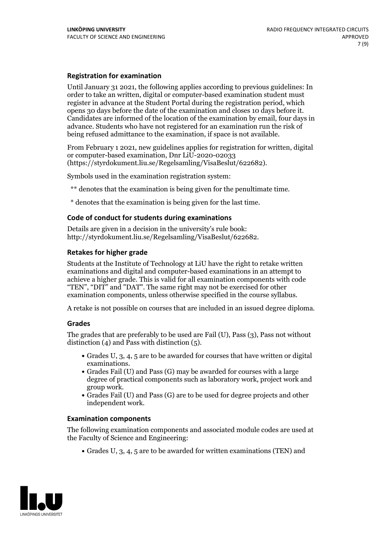#### **Registration for examination**

Until January 31 2021, the following applies according to previous guidelines: In order to take an written, digital or computer-based examination student must register in advance at the Student Portal during the registration period, which Candidates are informed of the location of the examination by email, four days in advance. Students who have not registered for an examination run the risk of being refused admittance to the examination, if space is not available.

From February 1 2021, new guidelines applies for registration for written, digital or computer-based examination, Dnr LiU-2020-02033 (https://styrdokument.liu.se/Regelsamling/VisaBeslut/622682).

Symbols used in the examination registration system:

\*\* denotes that the examination is being given for the penultimate time.

\* denotes that the examination is being given for the last time.

#### **Code of conduct for students during examinations**

Details are given in a decision in the university's rule book: http://styrdokument.liu.se/Regelsamling/VisaBeslut/622682.

#### **Retakes for higher grade**

Students at the Institute of Technology at LiU have the right to retake written examinations and digital and computer-based examinations in an attempt to achieve a higher grade. This is valid for all examination components with code "TEN", "DIT" and "DAT". The same right may not be exercised for other examination components, unless otherwise specified in the course syllabus.

A retake is not possible on courses that are included in an issued degree diploma.

#### **Grades**

The grades that are preferably to be used are Fail (U), Pass (3), Pass not without distinction  $(4)$  and Pass with distinction  $(5)$ .

- Grades U, 3, 4, 5 are to be awarded for courses that have written or digital
- examinations.<br>• Grades Fail (U) and Pass (G) may be awarded for courses with a large degree of practical components such as laboratory work, project work and
- $\bullet$  Grades Fail (U) and Pass (G) are to be used for degree projects and other independent work.

#### **Examination components**

The following examination components and associated module codes are used at the Faculty of Science and Engineering:

Grades U, 3, 4, 5 are to be awarded for written examinations (TEN) and

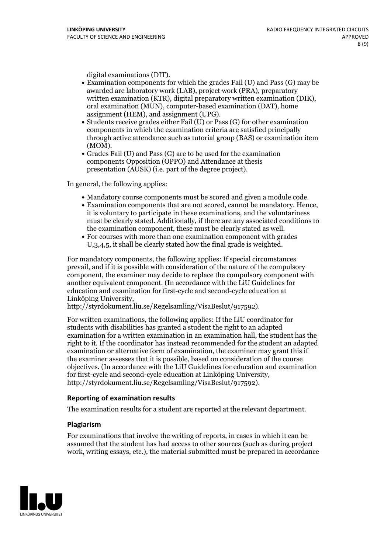- digital examinations (DIT).<br>• Examination components for which the grades Fail (U) and Pass (G) may be awarded are laboratory work (LAB), project work (PRA), preparatory written examination (KTR), digital preparatory written examination (DIK), oral examination (MUN), computer-based examination (DAT), home
- assignment (HEM), and assignment (UPG).<br>• Students receive grades either Fail (U) or Pass (G) for other examination components in which the examination criteria are satisfied principally through active attendance such as tutorial group (BAS) or examination item
- (MOM).<br>• Grades Fail (U) and Pass (G) are to be used for the examination components Opposition (OPPO) and Attendance at thesis presentation (AUSK) (i.e. part of the degree project).

In general, the following applies:

- 
- Mandatory course components must be scored and given <sup>a</sup> module code. Examination components that are not scored, cannot be mandatory. Hence, it is voluntary to participate in these examinations, and the voluntariness must be clearly stated. Additionally, if there are any associated conditions to the examination component, these must be clearly stated as well.<br>• For courses with more than one examination component with grades
- U,3,4,5, it shall be clearly stated how the final grade is weighted.

For mandatory components, the following applies: If special circumstances prevail, and if it is possible with consideration of the nature ofthe compulsory component, the examiner may decide to replace the compulsory component with another equivalent component. (In accordance with the LiU Guidelines for education and examination for first-cycle and second-cycle education at Linköping University, http://styrdokument.liu.se/Regelsamling/VisaBeslut/917592).

For written examinations, the following applies: If the LiU coordinator for students with disabilities has granted a student the right to an adapted examination for a written examination in an examination hall, the student has the right to it. If the coordinator has instead recommended for the student an adapted examination or alternative form of examination, the examiner may grant this if the examiner assesses that it is possible, based on consideration of the course objectives. (In accordance with the LiU Guidelines for education and examination for first-cycle and second-cycle education at Linköping University, http://styrdokument.liu.se/Regelsamling/VisaBeslut/917592).

#### **Reporting of examination results**

The examination results for a student are reported at the relevant department.

#### **Plagiarism**

For examinations that involve the writing of reports, in cases in which it can be assumed that the student has had access to other sources (such as during project work, writing essays, etc.), the material submitted must be prepared in accordance